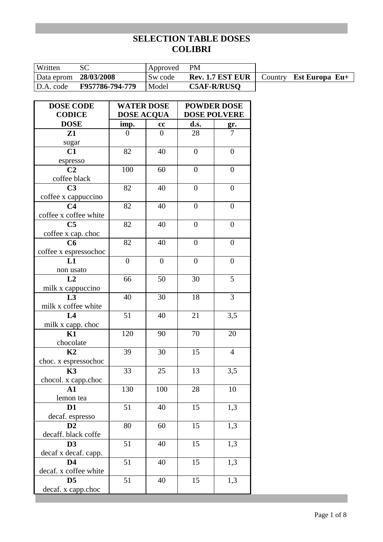| Written               |                 | Approved | <b>PM</b>               |                                |
|-----------------------|-----------------|----------|-------------------------|--------------------------------|
| Data eprom 28/03/2008 |                 | Sw code  | <b>Rev. 1.7 EST EUR</b> | Country <b>Est Europa Eu</b> + |
| D.A. code             | F957786-794-779 | Model    | <b>C5AF-R/RUSO</b>      |                                |
|                       |                 |          |                         |                                |

| <b>CODICE</b><br><b>DOSE ACQUA</b><br><b>DOSE POLVERE</b><br><b>DOSE</b><br>imp.<br>d.s.<br>cc<br>gr.<br>Z1<br>28<br>$\boldsymbol{0}$<br>7<br>0<br>sugar<br>C1<br>82<br>40<br>$\overline{0}$<br>$\overline{0}$<br>espresso<br>C <sub>2</sub><br>100<br>$\overline{0}$<br>60<br>$\boldsymbol{0}$<br>coffee black<br>C <sub>3</sub><br>82<br>40<br>$\overline{0}$<br>$\overline{0}$<br>coffee x cappuccino<br>82<br>C <sub>4</sub><br>40<br>$\boldsymbol{0}$<br>$\overline{0}$<br>coffee x coffee white<br>C <sub>5</sub><br>82<br>40<br>$\boldsymbol{0}$<br>$\boldsymbol{0}$<br>coffee x cap. choc<br>C6<br>82<br>40<br>$\boldsymbol{0}$<br>$\boldsymbol{0}$<br>coffee x espressochoc<br>$\overline{0}$<br>$\overline{0}$<br>$\overline{0}$<br>$\overline{0}$<br>L1<br>non usato<br>L2<br>50<br>30<br>5<br>66<br>milk x cappuccino<br>L <sub>3</sub><br>3<br>18<br>40<br>30<br>milk x coffee white<br>51<br>21<br>L <sub>4</sub><br>40<br>3,5<br>milk x capp. choc<br>K1<br>120<br>20<br>70<br>90<br>chocolate<br>K <sub>2</sub><br>$\overline{4}$<br>39<br>30<br>15<br>choc. x espressochoc<br><b>K3</b><br>13<br>33<br>25<br>3,5<br>chocol. x capp.choc<br>130<br>100<br>28<br>10<br>$\mathbf{A1}$<br>lemon tea<br>51<br>D <sub>1</sub><br>40<br>15<br>1,3<br>decaf. espresso<br>D2<br>15<br>1,3<br>80<br>60<br>decaff. black coffe<br>1,3<br>51<br>15<br>D <sub>3</sub><br>40<br>decaf x decaf. capp.<br>51<br>D <sub>4</sub><br>15<br>1,3<br>40<br>decaf. x coffee white<br>51<br>15<br>1,3<br>40<br>D5 | <b>DOSE CODE</b>   | <b>WATER DOSE</b> | <b>POWDER DOSE</b> |  |  |
|------------------------------------------------------------------------------------------------------------------------------------------------------------------------------------------------------------------------------------------------------------------------------------------------------------------------------------------------------------------------------------------------------------------------------------------------------------------------------------------------------------------------------------------------------------------------------------------------------------------------------------------------------------------------------------------------------------------------------------------------------------------------------------------------------------------------------------------------------------------------------------------------------------------------------------------------------------------------------------------------------------------------------------------------------------------------------------------------------------------------------------------------------------------------------------------------------------------------------------------------------------------------------------------------------------------------------------------------------------------------------------------------------------------------------------------------------------------------------------------------------------|--------------------|-------------------|--------------------|--|--|
|                                                                                                                                                                                                                                                                                                                                                                                                                                                                                                                                                                                                                                                                                                                                                                                                                                                                                                                                                                                                                                                                                                                                                                                                                                                                                                                                                                                                                                                                                                            |                    |                   |                    |  |  |
|                                                                                                                                                                                                                                                                                                                                                                                                                                                                                                                                                                                                                                                                                                                                                                                                                                                                                                                                                                                                                                                                                                                                                                                                                                                                                                                                                                                                                                                                                                            |                    |                   |                    |  |  |
|                                                                                                                                                                                                                                                                                                                                                                                                                                                                                                                                                                                                                                                                                                                                                                                                                                                                                                                                                                                                                                                                                                                                                                                                                                                                                                                                                                                                                                                                                                            |                    |                   |                    |  |  |
|                                                                                                                                                                                                                                                                                                                                                                                                                                                                                                                                                                                                                                                                                                                                                                                                                                                                                                                                                                                                                                                                                                                                                                                                                                                                                                                                                                                                                                                                                                            |                    |                   |                    |  |  |
|                                                                                                                                                                                                                                                                                                                                                                                                                                                                                                                                                                                                                                                                                                                                                                                                                                                                                                                                                                                                                                                                                                                                                                                                                                                                                                                                                                                                                                                                                                            |                    |                   |                    |  |  |
|                                                                                                                                                                                                                                                                                                                                                                                                                                                                                                                                                                                                                                                                                                                                                                                                                                                                                                                                                                                                                                                                                                                                                                                                                                                                                                                                                                                                                                                                                                            |                    |                   |                    |  |  |
|                                                                                                                                                                                                                                                                                                                                                                                                                                                                                                                                                                                                                                                                                                                                                                                                                                                                                                                                                                                                                                                                                                                                                                                                                                                                                                                                                                                                                                                                                                            |                    |                   |                    |  |  |
|                                                                                                                                                                                                                                                                                                                                                                                                                                                                                                                                                                                                                                                                                                                                                                                                                                                                                                                                                                                                                                                                                                                                                                                                                                                                                                                                                                                                                                                                                                            |                    |                   |                    |  |  |
|                                                                                                                                                                                                                                                                                                                                                                                                                                                                                                                                                                                                                                                                                                                                                                                                                                                                                                                                                                                                                                                                                                                                                                                                                                                                                                                                                                                                                                                                                                            |                    |                   |                    |  |  |
|                                                                                                                                                                                                                                                                                                                                                                                                                                                                                                                                                                                                                                                                                                                                                                                                                                                                                                                                                                                                                                                                                                                                                                                                                                                                                                                                                                                                                                                                                                            |                    |                   |                    |  |  |
|                                                                                                                                                                                                                                                                                                                                                                                                                                                                                                                                                                                                                                                                                                                                                                                                                                                                                                                                                                                                                                                                                                                                                                                                                                                                                                                                                                                                                                                                                                            |                    |                   |                    |  |  |
|                                                                                                                                                                                                                                                                                                                                                                                                                                                                                                                                                                                                                                                                                                                                                                                                                                                                                                                                                                                                                                                                                                                                                                                                                                                                                                                                                                                                                                                                                                            |                    |                   |                    |  |  |
|                                                                                                                                                                                                                                                                                                                                                                                                                                                                                                                                                                                                                                                                                                                                                                                                                                                                                                                                                                                                                                                                                                                                                                                                                                                                                                                                                                                                                                                                                                            |                    |                   |                    |  |  |
|                                                                                                                                                                                                                                                                                                                                                                                                                                                                                                                                                                                                                                                                                                                                                                                                                                                                                                                                                                                                                                                                                                                                                                                                                                                                                                                                                                                                                                                                                                            |                    |                   |                    |  |  |
|                                                                                                                                                                                                                                                                                                                                                                                                                                                                                                                                                                                                                                                                                                                                                                                                                                                                                                                                                                                                                                                                                                                                                                                                                                                                                                                                                                                                                                                                                                            |                    |                   |                    |  |  |
|                                                                                                                                                                                                                                                                                                                                                                                                                                                                                                                                                                                                                                                                                                                                                                                                                                                                                                                                                                                                                                                                                                                                                                                                                                                                                                                                                                                                                                                                                                            |                    |                   |                    |  |  |
|                                                                                                                                                                                                                                                                                                                                                                                                                                                                                                                                                                                                                                                                                                                                                                                                                                                                                                                                                                                                                                                                                                                                                                                                                                                                                                                                                                                                                                                                                                            |                    |                   |                    |  |  |
|                                                                                                                                                                                                                                                                                                                                                                                                                                                                                                                                                                                                                                                                                                                                                                                                                                                                                                                                                                                                                                                                                                                                                                                                                                                                                                                                                                                                                                                                                                            |                    |                   |                    |  |  |
|                                                                                                                                                                                                                                                                                                                                                                                                                                                                                                                                                                                                                                                                                                                                                                                                                                                                                                                                                                                                                                                                                                                                                                                                                                                                                                                                                                                                                                                                                                            |                    |                   |                    |  |  |
|                                                                                                                                                                                                                                                                                                                                                                                                                                                                                                                                                                                                                                                                                                                                                                                                                                                                                                                                                                                                                                                                                                                                                                                                                                                                                                                                                                                                                                                                                                            |                    |                   |                    |  |  |
|                                                                                                                                                                                                                                                                                                                                                                                                                                                                                                                                                                                                                                                                                                                                                                                                                                                                                                                                                                                                                                                                                                                                                                                                                                                                                                                                                                                                                                                                                                            |                    |                   |                    |  |  |
|                                                                                                                                                                                                                                                                                                                                                                                                                                                                                                                                                                                                                                                                                                                                                                                                                                                                                                                                                                                                                                                                                                                                                                                                                                                                                                                                                                                                                                                                                                            |                    |                   |                    |  |  |
|                                                                                                                                                                                                                                                                                                                                                                                                                                                                                                                                                                                                                                                                                                                                                                                                                                                                                                                                                                                                                                                                                                                                                                                                                                                                                                                                                                                                                                                                                                            |                    |                   |                    |  |  |
|                                                                                                                                                                                                                                                                                                                                                                                                                                                                                                                                                                                                                                                                                                                                                                                                                                                                                                                                                                                                                                                                                                                                                                                                                                                                                                                                                                                                                                                                                                            |                    |                   |                    |  |  |
|                                                                                                                                                                                                                                                                                                                                                                                                                                                                                                                                                                                                                                                                                                                                                                                                                                                                                                                                                                                                                                                                                                                                                                                                                                                                                                                                                                                                                                                                                                            |                    |                   |                    |  |  |
|                                                                                                                                                                                                                                                                                                                                                                                                                                                                                                                                                                                                                                                                                                                                                                                                                                                                                                                                                                                                                                                                                                                                                                                                                                                                                                                                                                                                                                                                                                            |                    |                   |                    |  |  |
|                                                                                                                                                                                                                                                                                                                                                                                                                                                                                                                                                                                                                                                                                                                                                                                                                                                                                                                                                                                                                                                                                                                                                                                                                                                                                                                                                                                                                                                                                                            |                    |                   |                    |  |  |
|                                                                                                                                                                                                                                                                                                                                                                                                                                                                                                                                                                                                                                                                                                                                                                                                                                                                                                                                                                                                                                                                                                                                                                                                                                                                                                                                                                                                                                                                                                            |                    |                   |                    |  |  |
|                                                                                                                                                                                                                                                                                                                                                                                                                                                                                                                                                                                                                                                                                                                                                                                                                                                                                                                                                                                                                                                                                                                                                                                                                                                                                                                                                                                                                                                                                                            |                    |                   |                    |  |  |
|                                                                                                                                                                                                                                                                                                                                                                                                                                                                                                                                                                                                                                                                                                                                                                                                                                                                                                                                                                                                                                                                                                                                                                                                                                                                                                                                                                                                                                                                                                            |                    |                   |                    |  |  |
|                                                                                                                                                                                                                                                                                                                                                                                                                                                                                                                                                                                                                                                                                                                                                                                                                                                                                                                                                                                                                                                                                                                                                                                                                                                                                                                                                                                                                                                                                                            |                    |                   |                    |  |  |
|                                                                                                                                                                                                                                                                                                                                                                                                                                                                                                                                                                                                                                                                                                                                                                                                                                                                                                                                                                                                                                                                                                                                                                                                                                                                                                                                                                                                                                                                                                            |                    |                   |                    |  |  |
|                                                                                                                                                                                                                                                                                                                                                                                                                                                                                                                                                                                                                                                                                                                                                                                                                                                                                                                                                                                                                                                                                                                                                                                                                                                                                                                                                                                                                                                                                                            |                    |                   |                    |  |  |
|                                                                                                                                                                                                                                                                                                                                                                                                                                                                                                                                                                                                                                                                                                                                                                                                                                                                                                                                                                                                                                                                                                                                                                                                                                                                                                                                                                                                                                                                                                            |                    |                   |                    |  |  |
|                                                                                                                                                                                                                                                                                                                                                                                                                                                                                                                                                                                                                                                                                                                                                                                                                                                                                                                                                                                                                                                                                                                                                                                                                                                                                                                                                                                                                                                                                                            |                    |                   |                    |  |  |
|                                                                                                                                                                                                                                                                                                                                                                                                                                                                                                                                                                                                                                                                                                                                                                                                                                                                                                                                                                                                                                                                                                                                                                                                                                                                                                                                                                                                                                                                                                            |                    |                   |                    |  |  |
|                                                                                                                                                                                                                                                                                                                                                                                                                                                                                                                                                                                                                                                                                                                                                                                                                                                                                                                                                                                                                                                                                                                                                                                                                                                                                                                                                                                                                                                                                                            |                    |                   |                    |  |  |
|                                                                                                                                                                                                                                                                                                                                                                                                                                                                                                                                                                                                                                                                                                                                                                                                                                                                                                                                                                                                                                                                                                                                                                                                                                                                                                                                                                                                                                                                                                            |                    |                   |                    |  |  |
|                                                                                                                                                                                                                                                                                                                                                                                                                                                                                                                                                                                                                                                                                                                                                                                                                                                                                                                                                                                                                                                                                                                                                                                                                                                                                                                                                                                                                                                                                                            |                    |                   |                    |  |  |
|                                                                                                                                                                                                                                                                                                                                                                                                                                                                                                                                                                                                                                                                                                                                                                                                                                                                                                                                                                                                                                                                                                                                                                                                                                                                                                                                                                                                                                                                                                            |                    |                   |                    |  |  |
|                                                                                                                                                                                                                                                                                                                                                                                                                                                                                                                                                                                                                                                                                                                                                                                                                                                                                                                                                                                                                                                                                                                                                                                                                                                                                                                                                                                                                                                                                                            | decaf. x capp.choc |                   |                    |  |  |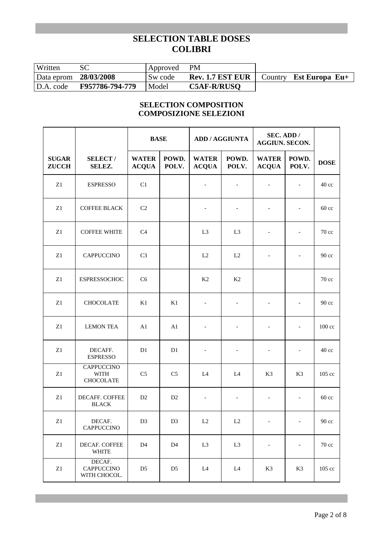| Written               |                 | Approved | PM                      |         |                |
|-----------------------|-----------------|----------|-------------------------|---------|----------------|
| Data eprom 28/03/2008 |                 | Sw code  | <b>Rev. 1.7 EST EUR</b> | Country | Est Europa Eu+ |
| D.A. code             | F957786-794-779 | Model    | <b>C5AF-R/RUSO</b>      |         |                |

## **SELECTION COMPOSITION COMPOSIZIONE SELEZIONI**

|                              |                                                      | <b>BASE</b>                  |                | <b>ADD / AGGIUNTA</b>        |                          | SEC. ADD /<br><b>AGGIUN. SECON.</b> |                          |                   |
|------------------------------|------------------------------------------------------|------------------------------|----------------|------------------------------|--------------------------|-------------------------------------|--------------------------|-------------------|
| <b>SUGAR</b><br><b>ZUCCH</b> | <b>SELECT/</b><br>SELEZ.                             | <b>WATER</b><br><b>ACQUA</b> | POWD.<br>POLV. | <b>WATER</b><br><b>ACQUA</b> | POWD.<br>POLV.           | <b>WATER</b><br><b>ACQUA</b>        | POWD.<br>POLV.           | <b>DOSE</b>       |
| Z1                           | <b>ESPRESSO</b>                                      | C1                           |                | $\overline{\phantom{a}}$     | $\overline{\phantom{a}}$ | $\qquad \qquad \blacksquare$        | $\overline{\phantom{a}}$ | 40 cc             |
| Z1                           | <b>COFFEE BLACK</b>                                  | C2                           |                | $\overline{\phantom{a}}$     | $\overline{\phantom{a}}$ | $\qquad \qquad -$                   | $\overline{\phantom{a}}$ | $60 \text{ cc}$   |
| Z1                           | <b>COFFEE WHITE</b>                                  | C <sub>4</sub>               |                | L <sub>3</sub>               | L <sub>3</sub>           |                                     |                          | 70 cc             |
| Z1                           | <b>CAPPUCCINO</b>                                    | C <sub>3</sub>               |                | L2                           | L2                       |                                     |                          | $90 \text{ cc}$   |
| Z1                           | <b>ESPRESSOCHOC</b>                                  | C <sub>6</sub>               |                | K <sub>2</sub>               | K <sub>2</sub>           |                                     |                          | $70 \text{ cc}$   |
| Z1                           | <b>CHOCOLATE</b>                                     | K1                           | K1             |                              |                          |                                     |                          | $90 \text{ cc}$   |
| Z1                           | <b>LEMON TEA</b>                                     | A1                           | A <sub>1</sub> |                              |                          |                                     | $\overline{\phantom{a}}$ | $100 \text{ cc}$  |
| Z1                           | DECAFF.<br><b>ESPRESSO</b>                           | D1                           | D1             | $\overline{\phantom{a}}$     | $\overline{\phantom{a}}$ | $\qquad \qquad \blacksquare$        |                          | $40 \text{ cc}$   |
| ${\bf Z}1$                   | <b>CAPPUCCINO</b><br><b>WITH</b><br><b>CHOCOLATE</b> | C <sub>5</sub>               | C <sub>5</sub> | L4                           | L4                       | K3                                  | K3                       | $105 \text{ cc}$  |
| ${\bf Z}1$                   | DECAFF. COFFEE<br><b>BLACK</b>                       | D <sub>2</sub>               | D <sub>2</sub> | $\overline{\phantom{a}}$     | $\overline{\phantom{a}}$ | $\overline{\phantom{0}}$            | $\overline{\phantom{a}}$ | $60 \text{ cc}$   |
| Z1                           | DECAF.<br><b>CAPPUCCINO</b>                          | D <sub>3</sub>               | D <sub>3</sub> | L2                           | L2                       | $\overline{\phantom{a}}$            | $\overline{\phantom{a}}$ | $90 \text{ cc}$   |
| $\rm Z1$                     | DECAF. COFFEE<br><b>WHITE</b>                        | D <sub>4</sub>               | D <sub>4</sub> | L <sub>3</sub>               | L <sub>3</sub>           | $\overline{\phantom{a}}$            |                          | $70\;\mathrm{cc}$ |
| $\rm Z1$                     | DECAF.<br><b>CAPPUCCINO</b><br>WITH CHOCOL.          | D <sub>5</sub>               | D <sub>5</sub> | L4                           | L4                       | K3                                  | K3                       | $105 \text{ cc}$  |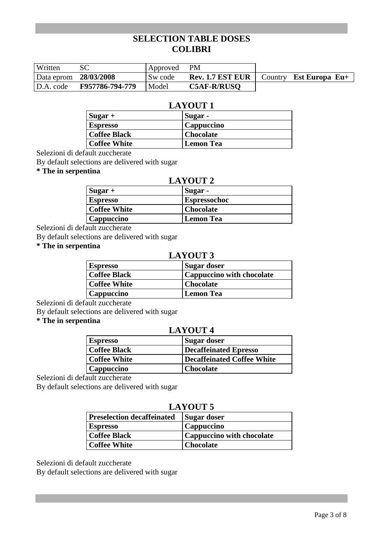| Written               |                 | Approved PM |                                                                |  |
|-----------------------|-----------------|-------------|----------------------------------------------------------------|--|
| Data eprom 28/03/2008 |                 | Sw code     | <b>Rev. 1.7 EST EUR</b> $\vert$ Country <b>Est Europa Eu</b> + |  |
| D.A. code             | F957786-794-779 | Model       | <b>C5AF-R/RUSO</b>                                             |  |

## **LAYOUT 1**

| $\left  \text{Sugar} \right  +$ | Sugar -          |
|---------------------------------|------------------|
| <b>Espresso</b>                 | Cappuccino       |
| Coffee Black                    | <b>Chocolate</b> |
| <b>Coffee White</b>             | <b>Lemon Tea</b> |

Selezioni di default zuccherate

By default selections are delivered with sugar

**\* The in serpentina** 

## **LAYOUT 2**

| $Sugar +$               | Sugar -             |
|-------------------------|---------------------|
| <b>Espresso</b>         | <b>Espressochoc</b> |
| <b>Coffee White</b>     | <b>Chocolate</b>    |
| <sup>l</sup> Cappuccino | <b>Lemon Tea</b>    |
|                         |                     |

Selezioni di default zuccherate

By default selections are delivered with sugar

## **\* The in serpentina**

## **LAYOUT 3**

| <b>Espresso</b>     | Sugar doser                      |
|---------------------|----------------------------------|
| <b>Coffee Black</b> | <b>Cappuccino with chocolate</b> |
| <b>Coffee White</b> | <b>Chocolate</b>                 |
| Cappuccino          | Lemon Tea                        |

Selezioni di default zuccherate

By default selections are delivered with sugar

#### **\* The in serpentina**

### **LAYOUT 4**

| <b>Espresso</b>     | Sugar doser                |
|---------------------|----------------------------|
| <b>Coffee Black</b> | Decaffeinated Epresso      |
| <b>Coffee White</b> | Decaffeinated Coffee White |
| Cappuccino          | <b>Chocolate</b>           |

Selezioni di default zuccherate

By default selections are delivered with sugar

## **LAYOUT 5**

| <b>Preselection decaffeinated</b> | Sugar doser                      |
|-----------------------------------|----------------------------------|
| <b>Espresso</b>                   | <b>Cappuccino</b>                |
| <b>Coffee Black</b>               | <b>Cappuccino with chocolate</b> |
| <b>Coffee White</b>               | <b>Chocolate</b>                 |

Selezioni di default zuccherate

By default selections are delivered with sugar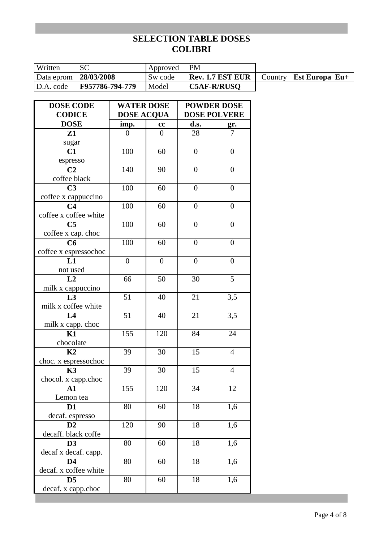| Written               |                 | Approved | <b>PM</b>          |                                |
|-----------------------|-----------------|----------|--------------------|--------------------------------|
| Data eprom 28/03/2008 |                 | Sw code  | Rev. 1.7 EST EUR   | Country <b>Est Europa Eu</b> + |
| D.A. code             | F957786-794-779 | Model    | <b>C5AF-R/RUSO</b> |                                |

| <b>DOSE CODE</b>                  | <b>WATER DOSE</b> |                  | <b>POWDER DOSE</b> |                     |  |
|-----------------------------------|-------------------|------------------|--------------------|---------------------|--|
| <b>CODICE</b>                     | <b>DOSE ACQUA</b> |                  |                    | <b>DOSE POLVERE</b> |  |
| <b>DOSE</b>                       | imp.              | cc               | d.s.               | gr.                 |  |
| Z1                                | $\overline{0}$    | $\overline{0}$   | 28                 | 7                   |  |
| sugar                             |                   |                  |                    |                     |  |
| C1                                | 100               | 60               | $\overline{0}$     | $\overline{0}$      |  |
| espresso                          |                   |                  |                    |                     |  |
| C <sub>2</sub>                    | 140               | 90               | $\boldsymbol{0}$   | $\boldsymbol{0}$    |  |
| coffee black                      |                   |                  |                    |                     |  |
| C <sub>3</sub>                    | 100               | 60               | $\boldsymbol{0}$   | $\overline{0}$      |  |
| coffee x cappuccino               |                   |                  |                    |                     |  |
| C <sub>4</sub>                    | 100               | 60               | $\overline{0}$     | $\overline{0}$      |  |
| coffee x coffee white             |                   |                  |                    |                     |  |
| C <sub>5</sub>                    | 100               | 60               | $\overline{0}$     | $\overline{0}$      |  |
| coffee x cap. choc                |                   |                  |                    |                     |  |
| C6                                | 100               | 60               | $\overline{0}$     | $\overline{0}$      |  |
| coffee x espressochoc             |                   |                  |                    |                     |  |
| L1                                | $\overline{0}$    | $\boldsymbol{0}$ | $\boldsymbol{0}$   | $\overline{0}$      |  |
| not used                          |                   |                  |                    |                     |  |
| L2                                | 66                | 50               | 30                 | 5                   |  |
| milk x cappuccino                 |                   |                  |                    |                     |  |
| L3                                | 51                | 40               | 21                 | 3,5                 |  |
| milk x coffee white               |                   |                  |                    |                     |  |
| L4                                | 51                | 40               | 21                 | 3,5                 |  |
| milk x capp. choc                 |                   |                  |                    |                     |  |
| K1                                | 155               | 120              | 84                 | 24                  |  |
| chocolate                         |                   |                  |                    |                     |  |
| K2                                | 39                | 30               | 15                 | $\overline{4}$      |  |
| choc. x espressochoc<br><b>K3</b> | 39                | 30               | 15                 | $\overline{4}$      |  |
|                                   |                   |                  |                    |                     |  |
| chocol. x capp.choc<br>${\bf A1}$ | 155               | 120              | 34                 | 12                  |  |
| Lemon tea                         |                   |                  |                    |                     |  |
| D <sub>1</sub>                    | 80                | 60               | 18                 | 1,6                 |  |
| decaf. espresso                   |                   |                  |                    |                     |  |
| D2                                | 120               | 90               | 18                 | 1,6                 |  |
| decaff. black coffe               |                   |                  |                    |                     |  |
| D <sub>3</sub>                    | 80                | 60               | 18                 | 1,6                 |  |
| decaf x decaf. capp.              |                   |                  |                    |                     |  |
| D <sub>4</sub>                    | 80                | 60               | 18                 | 1,6                 |  |
| decaf. x coffee white             |                   |                  |                    |                     |  |
| D <sub>5</sub>                    | 80                | 60               | 18                 | 1,6                 |  |
| decaf. x capp.choc                |                   |                  |                    |                     |  |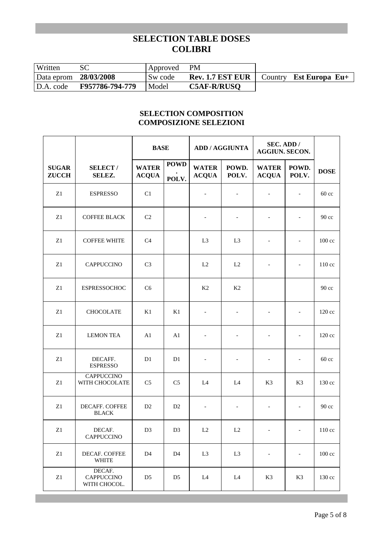| Written               |                 | Approved | <b>PM</b>               |                                |
|-----------------------|-----------------|----------|-------------------------|--------------------------------|
| Data eprom 28/03/2008 |                 | Sw code  | <b>Rev. 1.7 EST EUR</b> | Country <b>Est Europa Eu</b> + |
| D.A. code             | F957786-794-779 | Model    | <b>C5AF-R/RUSO</b>      |                                |

## **SELECTION COMPOSITION COMPOSIZIONE SELEZIONI**

|                              |                                             |                              | <b>BASE</b>          |                              | <b>ADD / AGGIUNTA</b>    |                              | SEC. ADD /<br><b>AGGIUN. SECON.</b> |                   |
|------------------------------|---------------------------------------------|------------------------------|----------------------|------------------------------|--------------------------|------------------------------|-------------------------------------|-------------------|
| <b>SUGAR</b><br><b>ZUCCH</b> | <b>SELECT/</b><br><b>SELEZ.</b>             | <b>WATER</b><br><b>ACQUA</b> | <b>POWD</b><br>POLV. | <b>WATER</b><br><b>ACQUA</b> | POWD.<br>POLV.           | <b>WATER</b><br><b>ACQUA</b> | POWD.<br>POLV.                      | <b>DOSE</b>       |
| Z1                           | <b>ESPRESSO</b>                             | C1                           |                      | $\overline{\phantom{a}}$     | $\overline{\phantom{a}}$ | $\overline{\phantom{a}}$     | $\overline{\phantom{a}}$            | $60 \text{ cc}$   |
| Z1                           | <b>COFFEE BLACK</b>                         | C2                           |                      | $\overline{\phantom{a}}$     |                          |                              | $\overline{\phantom{a}}$            | $90\,\mathrm{cc}$ |
| Z1                           | <b>COFFEE WHITE</b>                         | C <sub>4</sub>               |                      | L <sub>3</sub>               | L3                       |                              | $\blacksquare$                      | $100 \text{ cc}$  |
| Z1                           | <b>CAPPUCCINO</b>                           | C <sub>3</sub>               |                      | L2                           | L2                       | $\overline{\phantom{a}}$     | $\overline{\phantom{a}}$            | 110 cc            |
| Z1                           | <b>ESPRESSOCHOC</b>                         | C <sub>6</sub>               |                      | K2                           | K <sub>2</sub>           |                              |                                     | $90 \text{ cc}$   |
| Z1                           | <b>CHOCOLATE</b>                            | K1                           | K1                   | $\overline{\phantom{a}}$     | $\overline{\phantom{a}}$ | $\overline{\phantom{a}}$     | $\overline{\phantom{a}}$            | 120 cc            |
| Z1                           | <b>LEMON TEA</b>                            | A <sub>1</sub>               | A1                   | $\overline{\phantom{a}}$     | $\overline{\phantom{a}}$ | $\overline{\phantom{a}}$     | $\overline{\phantom{a}}$            | $120 \text{ cc}$  |
| ${\bf Z}1$                   | DECAFF.<br><b>ESPRESSO</b>                  | D1                           | D1                   | $\overline{\phantom{a}}$     | $\overline{\phantom{a}}$ | $\overline{\phantom{a}}$     | $\overline{\phantom{a}}$            | $60 \text{ cc}$   |
| Z1                           | <b>CAPPUCCINO</b><br>WITH CHOCOLATE         | C <sub>5</sub>               | C <sub>5</sub>       | L4                           | L4                       | K3                           | K3                                  | $130 \text{ cc}$  |
| ${\bf Z}1$                   | DECAFF. COFFEE<br><b>BLACK</b>              | D <sub>2</sub>               | D <sub>2</sub>       | $\overline{\phantom{a}}$     | $\overline{\phantom{a}}$ | $\overline{\phantom{a}}$     | $\overline{\phantom{a}}$            | $90\,\mathrm{cc}$ |
| $\rm Z1$                     | DECAF.<br>CAPPUCCINO                        | D <sub>3</sub>               | D <sub>3</sub>       | $\rm L2$                     | $\rm L2$                 | $\overline{\phantom{a}}$     | $\overline{\phantom{a}}$            | 110 cc            |
| ${\bf Z}1$                   | DECAF. COFFEE<br><b>WHITE</b>               | D <sub>4</sub>               | D <sub>4</sub>       | L <sub>3</sub>               | L <sub>3</sub>           | $\qquad \qquad -$            | $\qquad \qquad \blacksquare$        | $100 \text{ cc}$  |
| Z1                           | DECAF.<br><b>CAPPUCCINO</b><br>WITH CHOCOL. | D <sub>5</sub>               | D <sub>5</sub>       | L4                           | L4                       | K3                           | K3                                  | 130 cc            |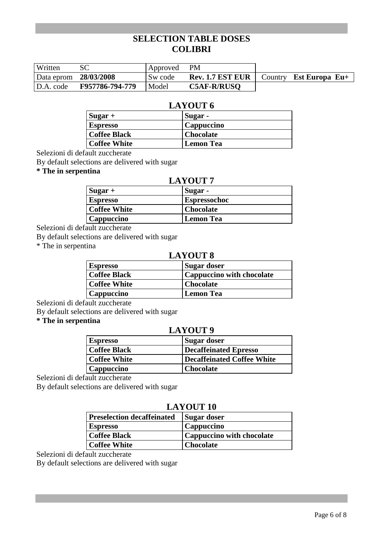| Written               |                 | Approved PM |                                                                |  |
|-----------------------|-----------------|-------------|----------------------------------------------------------------|--|
| Data eprom 28/03/2008 |                 | Sw code     | <b>Rev. 1.7 EST EUR</b> $\vert$ Country <b>Est Europa Eu</b> + |  |
| D.A. code             | F957786-794-779 | Model       | <b>C5AF-R/RUSO</b>                                             |  |

## **LAYOUT 6**

| $\left  \text{Sugar} \right  +$ | Sugar -          |
|---------------------------------|------------------|
| <b>Espresso</b>                 | Cappuccino       |
| Coffee Black                    | <b>Chocolate</b> |
| <b>Coffee White</b>             | <b>Lemon Tea</b> |

Selezioni di default zuccherate

By default selections are delivered with sugar

**\* The in serpentina** 

### **LAYOUT 7**

| $Sugar +$           | Sugar -             |
|---------------------|---------------------|
| <b>Espresso</b>     | <b>Espressochoc</b> |
| <b>Coffee White</b> | <b>Chocolate</b>    |
| <b>Cappuccino</b>   | <b>Lemon Tea</b>    |

Selezioni di default zuccherate

By default selections are delivered with sugar

\* The in serpentina

## **LAYOUT 8**

| <b>Espresso</b>     | <b>Sugar doser</b>               |
|---------------------|----------------------------------|
| <b>Coffee Black</b> | <b>Cappuccino with chocolate</b> |
| <b>Coffee White</b> | Chocolate                        |
| Cappuccino          | <b>Lemon Tea</b>                 |

Selezioni di default zuccherate

By default selections are delivered with sugar

#### **\* The in serpentina**

### **LAYOUT 9**

| <b>Espresso</b>     | Sugar doser                  |
|---------------------|------------------------------|
| <b>Coffee Black</b> | <b>Decaffeinated Epresso</b> |
| <b>Coffee White</b> | Decaffeinated Coffee White   |
| Cappuccino          | Chocolate                    |

Selezioni di default zuccherate

By default selections are delivered with sugar

## **LAYOUT 10**

| <b>Preselection decaffeinated</b> | Sugar doser               |
|-----------------------------------|---------------------------|
| <b>Espresso</b>                   | Cappuccino                |
| <b>Coffee Black</b>               | Cappuccino with chocolate |
| <b>Coffee White</b>               | <b>Chocolate</b>          |

Selezioni di default zuccherate

By default selections are delivered with sugar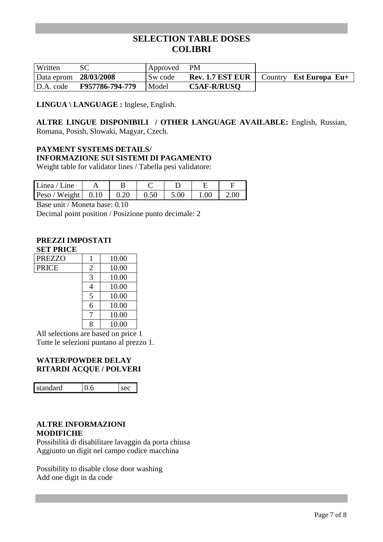| Written    |                 | Approved | <b>PM</b>               |                                |
|------------|-----------------|----------|-------------------------|--------------------------------|
| Data eprom | 28/03/2008      | Sw code  | <b>Rev. 1.7 EST EUR</b> | Country <b>Est Europa Eu</b> + |
| D.A. code  | F957786-794-779 | Model    | <b>C5AF-R/RUSO</b>      |                                |

**LINGUA \ LANGUAGE :** Inglese, English.

#### **ALTRE LINGUE DISPONIBILI / OTHER LANGUAGE AVAILABLE:** English, Russian, Romana, Posish, Slowaki, Magyar, Czech.

## **PAYMENT SYSTEMS DETAILS/ INFORMAZIONE SUI SISTEMI DI PAGAMENTO**

Weight table for validator lines / Tabella pesi validatore:

| Linea / Line                     |      |      |      |      |      |
|----------------------------------|------|------|------|------|------|
| Peso / Weight $\vert 0.10 \vert$ | 0.20 | 0.50 | 5.00 | 1.00 | 2.00 |

Base unit / Moneta base: 0.10

Decimal point position / Posizione punto decimale: 2

#### **PREZZI IMPOSTATI SET PRICE**

| <b>PREZZO</b> |                | 10.00 |
|---------------|----------------|-------|
| <b>PRICE</b>  | $\overline{2}$ | 10.00 |
|               | 3              | 10.00 |
|               | 4              | 10.00 |
|               | 5              | 10.00 |
|               | 6              | 10.00 |
|               |                | 10.00 |
|               |                | 10.00 |

All selections are based on price 1 Tutte le selezioni puntano al prezzo 1.

### **WATER/POWDER DELAY RITARDI ACQUE / POLVERI**

standard 0.6 sec

#### **ALTRE INFORMAZIONI MODIFICHE**

Possibilità di disabilitare lavaggio da porta chiusa Aggiunto un digit nel campo codice macchina

Possibility to disable close door washing Add one digit in da code